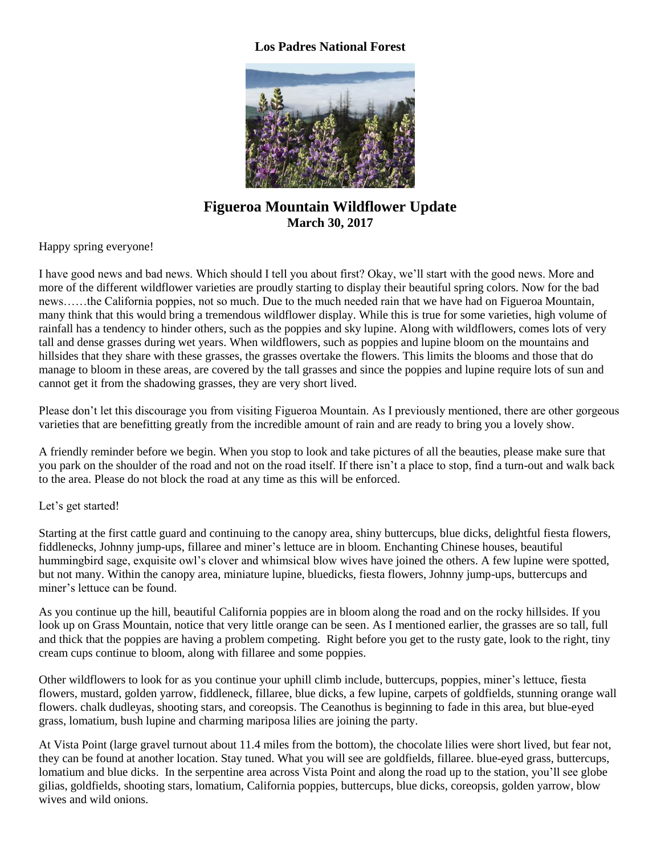## **Los Padres National Forest**



## **Figueroa Mountain Wildflower Update March 30, 2017**

Happy spring everyone!

I have good news and bad news. Which should I tell you about first? Okay, we'll start with the good news. More and more of the different wildflower varieties are proudly starting to display their beautiful spring colors. Now for the bad news……the California poppies, not so much. Due to the much needed rain that we have had on Figueroa Mountain, many think that this would bring a tremendous wildflower display. While this is true for some varieties, high volume of rainfall has a tendency to hinder others, such as the poppies and sky lupine. Along with wildflowers, comes lots of very tall and dense grasses during wet years. When wildflowers, such as poppies and lupine bloom on the mountains and hillsides that they share with these grasses, the grasses overtake the flowers. This limits the blooms and those that do manage to bloom in these areas, are covered by the tall grasses and since the poppies and lupine require lots of sun and cannot get it from the shadowing grasses, they are very short lived.

Please don't let this discourage you from visiting Figueroa Mountain. As I previously mentioned, there are other gorgeous varieties that are benefitting greatly from the incredible amount of rain and are ready to bring you a lovely show.

A friendly reminder before we begin. When you stop to look and take pictures of all the beauties, please make sure that you park on the shoulder of the road and not on the road itself. If there isn't a place to stop, find a turn-out and walk back to the area. Please do not block the road at any time as this will be enforced.

## Let's get started!

Starting at the first cattle guard and continuing to the canopy area, shiny buttercups, blue dicks, delightful fiesta flowers, fiddlenecks, Johnny jump-ups, fillaree and miner's lettuce are in bloom. Enchanting Chinese houses, beautiful hummingbird sage, exquisite owl's clover and whimsical blow wives have joined the others. A few lupine were spotted, but not many. Within the canopy area, miniature lupine, bluedicks, fiesta flowers, Johnny jump-ups, buttercups and miner's lettuce can be found.

As you continue up the hill, beautiful California poppies are in bloom along the road and on the rocky hillsides. If you look up on Grass Mountain, notice that very little orange can be seen. As I mentioned earlier, the grasses are so tall, full and thick that the poppies are having a problem competing. Right before you get to the rusty gate, look to the right, tiny cream cups continue to bloom, along with fillaree and some poppies.

Other wildflowers to look for as you continue your uphill climb include, buttercups, poppies, miner's lettuce, fiesta flowers, mustard, golden yarrow, fiddleneck, fillaree, blue dicks, a few lupine, carpets of goldfields, stunning orange wall flowers. chalk dudleyas, shooting stars, and coreopsis. The Ceanothus is beginning to fade in this area, but blue-eyed grass, lomatium, bush lupine and charming mariposa lilies are joining the party. Ì

At Vista Point (large gravel turnout about 11.4 miles from the bottom), the chocolate lilies were short lived, but fear not, they can be found at another location. Stay tuned. What you will see are goldfields, fillaree. blue-eyed grass, buttercups, lomatium and blue dicks. In the serpentine area across Vista Point and along the road up to the station, you'll see globe gilias, goldfields, shooting stars, lomatium, California poppies, buttercups, blue dicks, coreopsis, golden yarrow, blow wives and wild onions.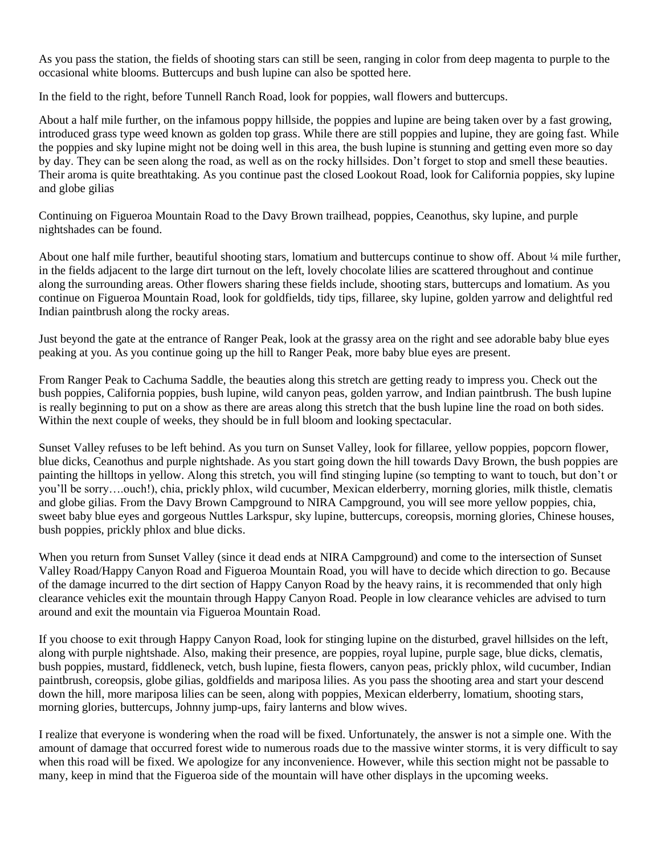As you pass the station, the fields of shooting stars can still be seen, ranging in color from deep magenta to purple to the occasional white blooms. Buttercups and bush lupine can also be spotted here.

In the field to the right, before Tunnell Ranch Road, look for poppies, wall flowers and buttercups.

About a half mile further, on the infamous poppy hillside, the poppies and lupine are being taken over by a fast growing, introduced grass type weed known as golden top grass. While there are still poppies and lupine, they are going fast. While the poppies and sky lupine might not be doing well in this area, the bush lupine is stunning and getting even more so day by day. They can be seen along the road, as well as on the rocky hillsides. Don't forget to stop and smell these beauties. Their aroma is quite breathtaking. As you continue past the closed Lookout Road, look for California poppies, sky lupine and globe gilias

Continuing on Figueroa Mountain Road to the Davy Brown trailhead, poppies, Ceanothus, sky lupine, and purple nightshades can be found.

About one half mile further, beautiful shooting stars, lomatium and buttercups continue to show off. About ¼ mile further, in the fields adjacent to the large dirt turnout on the left, lovely chocolate lilies are scattered throughout and continue along the surrounding areas. Other flowers sharing these fields include, shooting stars, buttercups and lomatium. As you continue on Figueroa Mountain Road, look for goldfields, tidy tips, fillaree, sky lupine, golden yarrow and delightful red Indian paintbrush along the rocky areas.

Just beyond the gate at the entrance of Ranger Peak, look at the grassy area on the right and see adorable baby blue eyes peaking at you. As you continue going up the hill to Ranger Peak, more baby blue eyes are present.

From Ranger Peak to Cachuma Saddle, the beauties along this stretch are getting ready to impress you. Check out the bush poppies, California poppies, bush lupine, wild canyon peas, golden yarrow, and Indian paintbrush. The bush lupine is really beginning to put on a show as there are areas along this stretch that the bush lupine line the road on both sides. Within the next couple of weeks, they should be in full bloom and looking spectacular.

Sunset Valley refuses to be left behind. As you turn on Sunset Valley, look for fillaree, yellow poppies, popcorn flower, blue dicks, Ceanothus and purple nightshade. As you start going down the hill towards Davy Brown, the bush poppies are painting the hilltops in yellow. Along this stretch, you will find stinging lupine (so tempting to want to touch, but don't or you'll be sorry….ouch!), chia, prickly phlox, wild cucumber, Mexican elderberry, morning glories, milk thistle, clematis and globe gilias. From the Davy Brown Campground to NIRA Campground, you will see more yellow poppies, chia, sweet baby blue eyes and gorgeous Nuttles Larkspur, sky lupine, buttercups, coreopsis, morning glories, Chinese houses, bush poppies, prickly phlox and blue dicks.

When you return from Sunset Valley (since it dead ends at NIRA Campground) and come to the intersection of Sunset Valley Road/Happy Canyon Road and Figueroa Mountain Road, you will have to decide which direction to go. Because of the damage incurred to the dirt section of Happy Canyon Road by the heavy rains, it is recommended that only high clearance vehicles exit the mountain through Happy Canyon Road. People in low clearance vehicles are advised to turn around and exit the mountain via Figueroa Mountain Road.

If you choose to exit through Happy Canyon Road, look for stinging lupine on the disturbed, gravel hillsides on the left, along with purple nightshade. Also, making their presence, are poppies, royal lupine, purple sage, blue dicks, clematis, bush poppies, mustard, fiddleneck, vetch, bush lupine, fiesta flowers, canyon peas, prickly phlox, wild cucumber, Indian paintbrush, coreopsis, globe gilias, goldfields and mariposa lilies. As you pass the shooting area and start your descend down the hill, more mariposa lilies can be seen, along with poppies, Mexican elderberry, lomatium, shooting stars, morning glories, buttercups, Johnny jump-ups, fairy lanterns and blow wives.

I realize that everyone is wondering when the road will be fixed. Unfortunately, the answer is not a simple one. With the amount of damage that occurred forest wide to numerous roads due to the massive winter storms, it is very difficult to say when this road will be fixed. We apologize for any inconvenience. However, while this section might not be passable to many, keep in mind that the Figueroa side of the mountain will have other displays in the upcoming weeks.